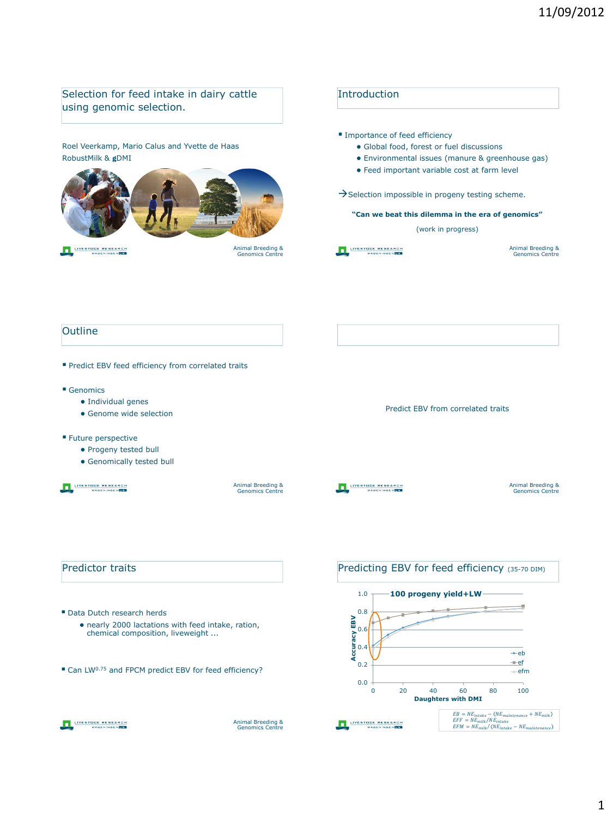## Selection for feed intake in dairy cattle Introduction using genomic selection. **Importance of feed efficiency** Roel Veerkamp, Mario Calus and Yvette de Haas ● Global food, forest or fuel discussions RobustMilk & **g**DMI ● Environmental issues (manure & greenhouse gas) ● Feed important variable cost at farm level  $\rightarrow$  Selection impossible in progeny testing scheme. **"Can we beat this dilemma in the era of genomics"** (work in progress) LIVESTOCK RESEARCH LIVESTOCK RESEARCH Animal Breeding & Genomics Centre Animal Breeding & Genomics Centre **Outline** Predict EBV feed efficiency from correlated traits Genomics ● Individual genes Predict EBV from correlated traits ● Genome wide selection **Future perspective** ● Progeny tested bull • Genomically tested bull LIVESTOCK RESEARCH Animal Breeding & Genomics Centre LIVESTOCK RESEARCH Animal Breeding & Genomics Centre Predictor traits Predicting EBV for feed efficiency (35-70 DIM) 1.0 **100 progeny yield+LW** 0.8 Data Dutch research herds **Accuracy EBV**  EBV ● nearly 2000 lactations with feed intake, ration, 0.6 chemical composition, liveweight ... Accuracy  $+eb$ ef 0.2 ■ Can LW<sup>0.75</sup> and FPCM predict EBV for feed efficiency?  $-$ efm 0.0 0 20 40 60 80 100 **Daughters with DMI**  $\begin{aligned} EB &= NE_{intake} - (NE_{matitenance} + NE_{milk} \ EFF &= NE_{milk}/NE_{intake} \ EFM &= NE_{milk}/(NE_{intake} - NE_{matitenance} \end{aligned}$ LIVESTOCK RESEARCH LIVESTOCK RESEARCH Animal Breeding & Genomics Centre  $\mathcal{L}_e = N E_{maintenance}$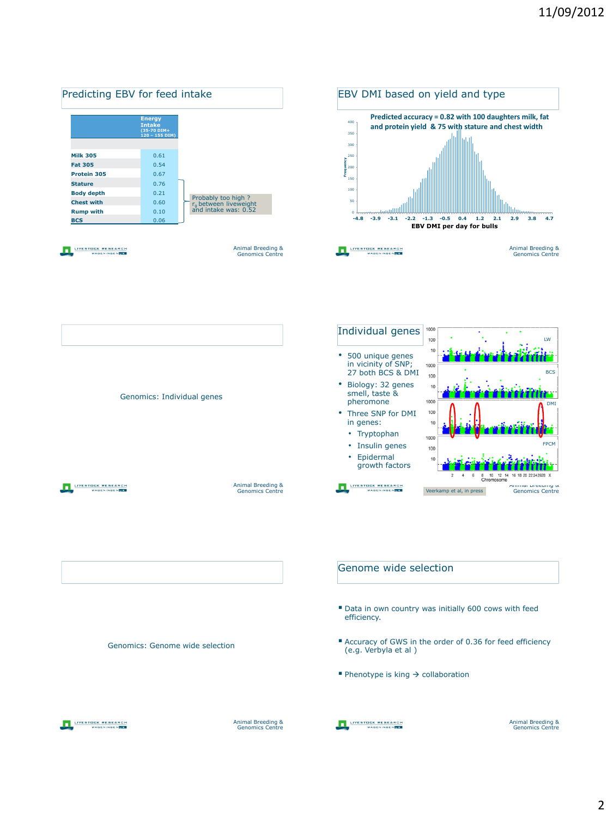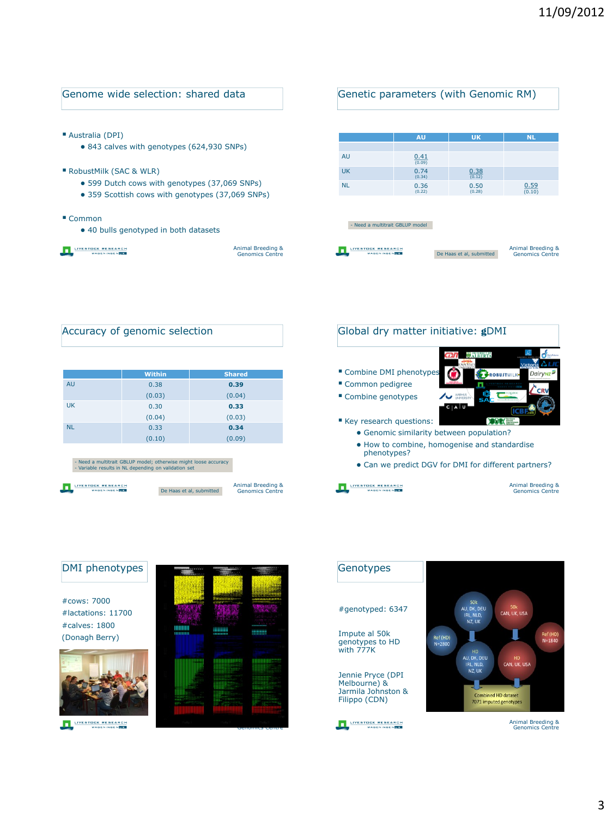| Genome wide selection: shared data                                                                |                                             | Genetic parameters (with Genomic RM) |                                 |                          |                                             |
|---------------------------------------------------------------------------------------------------|---------------------------------------------|--------------------------------------|---------------------------------|--------------------------|---------------------------------------------|
| Australia (DPI)<br>• 843 calves with genotypes (624,930 SNPs)                                     |                                             |                                      | AU                              | <b>UK</b>                | <b>NL</b>                                   |
|                                                                                                   |                                             | AU                                   | 0.41<br>(0.09)                  |                          |                                             |
| RobustMilk (SAC & WLR)                                                                            |                                             | UK                                   | 0.74<br>(0.34)                  | 0.38<br>(0.12)           |                                             |
| • 599 Dutch cows with genotypes (37,069 SNPs)<br>• 359 Scottish cows with genotypes (37,069 SNPs) |                                             | NI.                                  | 0.36<br>(0.22)                  | 0.50<br>(0.28)           | 0.59<br>(0.10)                              |
| $\blacksquare$ Common<br>• 40 bulls genotyped in both datasets                                    |                                             |                                      | - Need a multitrait GBLUP model |                          |                                             |
| <b>/FSTOCK RESEARCH</b>                                                                           | Animal Breeding &<br><b>Genomics Centre</b> |                                      |                                 | De Haas et al, submitted | Animal Breeding &<br><b>Genomics Centre</b> |

| Accuracy of genomic selection |               |               |  |  |  |
|-------------------------------|---------------|---------------|--|--|--|
|                               | <b>Within</b> | <b>Shared</b> |  |  |  |
| AU                            | 0.38          | 0.39          |  |  |  |
|                               | (0.03)        | (0.04)        |  |  |  |
| UK.                           | 0.30          | 0.33          |  |  |  |
|                               | (0.04)        | (0.03)        |  |  |  |
| <b>NL</b>                     | 0.33          | 0.34          |  |  |  |
|                               | (0.10)        | (0.09)        |  |  |  |
|                               |               |               |  |  |  |

- Need a multitrait GBLUP model; otherwise might loose accuracy - Variable results in NL depending on validation set

LIVESTOCK RESEARCH

LIVESTOCK RESEARCH

```
Animal Breeding & 
Genomics Centre
De Haas et al, submitted
```
## Global dry matter initiative: **g**DMI

- Combine DMI phenotypes
- Common pedigree
- Combine genotypes
- ROBUSTMILK י<br>Dairy בDairy ່ເຫ **ASACE**

ALBERTA

- Key research questions: • Genomic similarity between population?
	- How to combine, homogenise and standardise phenotypes?
	- Can we predict DGV for DMI for different partners?
- LIVESTOCK RESEARCH

Animal Breeding & Genomics Centre



Genotypes SOK<br>AU, DK, DEU SOK<br>CAN, UK, USA #genotyped: 6347 IRL, NLD,<br>IRL, NLD,<br>NZ, UK Impute al 50k Ref (HD)<br>N=1840 **Ref (HD)**<br>N=2800 genotypes to HD with 777K HD<br>AU, DK, DEU<br>IRL, NLD,<br>NZ, UK HD<br>CAN, UK, USA Jennie Pryce (DPI Melbourne) & Jarmila Johnston & Combined HD dataset<br>7071 imputed genotype Filippo (CDN)LIVESTOCK RESEARCH

Animal Breeding & Genomics Centre

## Genomics Centre